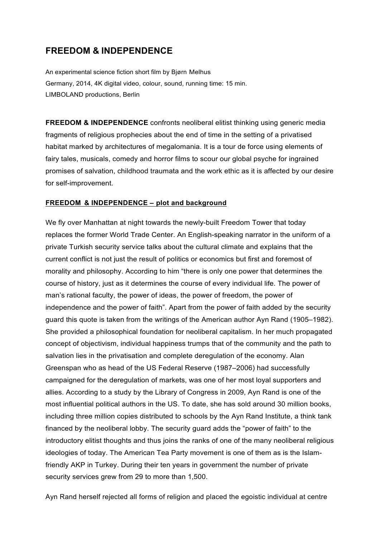## **FREEDOM & INDEPENDENCE**

An experimental science fiction short film by Bjørn Melhus Germany, 2014, 4K digital video, colour, sound, running time: 15 min. LIMBOLAND productions, Berlin

**FREEDOM & INDEPENDENCE** confronts neoliberal elitist thinking using generic media fragments of religious prophecies about the end of time in the setting of a privatised habitat marked by architectures of megalomania. It is a tour de force using elements of fairy tales, musicals, comedy and horror films to scour our global psyche for ingrained promises of salvation, childhood traumata and the work ethic as it is affected by our desire for self-improvement.

## **FREEDOM & INDEPENDENCE – plot and background**

We fly over Manhattan at night towards the newly-built Freedom Tower that today replaces the former World Trade Center. An English-speaking narrator in the uniform of a private Turkish security service talks about the cultural climate and explains that the current conflict is not just the result of politics or economics but first and foremost of morality and philosophy. According to him "there is only one power that determines the course of history, just as it determines the course of every individual life. The power of man's rational faculty, the power of ideas, the power of freedom, the power of independence and the power of faith". Apart from the power of faith added by the security guard this quote is taken from the writings of the American author Ayn Rand (1905–1982). She provided a philosophical foundation for neoliberal capitalism. In her much propagated concept of objectivism, individual happiness trumps that of the community and the path to salvation lies in the privatisation and complete deregulation of the economy. Alan Greenspan who as head of the US Federal Reserve (1987–2006) had successfully campaigned for the deregulation of markets, was one of her most loyal supporters and allies. According to a study by the Library of Congress in 2009, Ayn Rand is one of the most influential political authors in the US. To date, she has sold around 30 million books, including three million copies distributed to schools by the Ayn Rand Institute, a think tank financed by the neoliberal lobby. The security guard adds the "power of faith" to the introductory elitist thoughts and thus joins the ranks of one of the many neoliberal religious ideologies of today. The American Tea Party movement is one of them as is the Islamfriendly AKP in Turkey. During their ten years in government the number of private security services grew from 29 to more than 1,500.

Ayn Rand herself rejected all forms of religion and placed the egoistic individual at centre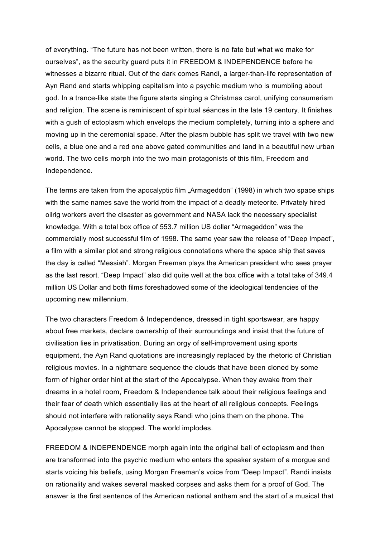of everything. "The future has not been written, there is no fate but what we make for ourselves", as the security guard puts it in FREEDOM & INDEPENDENCE before he witnesses a bizarre ritual. Out of the dark comes Randi, a larger-than-life representation of Ayn Rand and starts whipping capitalism into a psychic medium who is mumbling about god. In a trance-like state the figure starts singing a Christmas carol, unifying consumerism and religion. The scene is reminiscent of spiritual séances in the late 19 century. It finishes with a gush of ectoplasm which envelops the medium completely, turning into a sphere and moving up in the ceremonial space. After the plasm bubble has split we travel with two new cells, a blue one and a red one above gated communities and land in a beautiful new urban world. The two cells morph into the two main protagonists of this film, Freedom and Independence.

The terms are taken from the apocalyptic film "Armageddon" (1998) in which two space ships with the same names save the world from the impact of a deadly meteorite. Privately hired oilrig workers avert the disaster as government and NASA lack the necessary specialist knowledge. With a total box office of 553.7 million US dollar "Armageddon" was the commercially most successful film of 1998. The same year saw the release of "Deep Impact", a film with a similar plot and strong religious connotations where the space ship that saves the day is called "Messiah". Morgan Freeman plays the American president who sees prayer as the last resort. "Deep Impact" also did quite well at the box office with a total take of 349.4 million US Dollar and both films foreshadowed some of the ideological tendencies of the upcoming new millennium.

The two characters Freedom & Independence, dressed in tight sportswear, are happy about free markets, declare ownership of their surroundings and insist that the future of civilisation lies in privatisation. During an orgy of self-improvement using sports equipment, the Ayn Rand quotations are increasingly replaced by the rhetoric of Christian religious movies. In a nightmare sequence the clouds that have been cloned by some form of higher order hint at the start of the Apocalypse. When they awake from their dreams in a hotel room, Freedom & Independence talk about their religious feelings and their fear of death which essentially lies at the heart of all religious concepts. Feelings should not interfere with rationality says Randi who joins them on the phone. The Apocalypse cannot be stopped. The world implodes.

FREEDOM & INDEPENDENCE morph again into the original ball of ectoplasm and then are transformed into the psychic medium who enters the speaker system of a morgue and starts voicing his beliefs, using Morgan Freeman's voice from "Deep Impact". Randi insists on rationality and wakes several masked corpses and asks them for a proof of God. The answer is the first sentence of the American national anthem and the start of a musical that